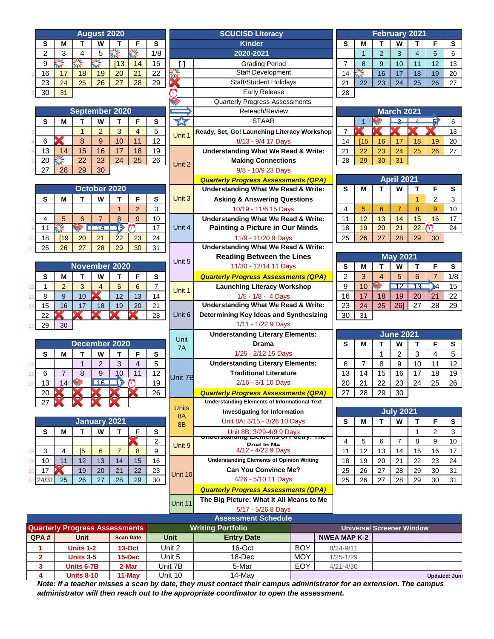| <b>August 2020</b> |    |    |    |    |    |     |  |  |  |  |
|--------------------|----|----|----|----|----|-----|--|--|--|--|
| S                  | М  |    | W  |    | F  | s   |  |  |  |  |
| $\overline{2}$     | 3  |    | 5  |    |    | 1/8 |  |  |  |  |
| 9                  |    |    |    | 13 | 14 | 15  |  |  |  |  |
| 16                 | 17 | 18 | 19 | 20 | 21 | 22  |  |  |  |  |
| 23                 | 24 | 25 | 26 | 27 | 28 | 29  |  |  |  |  |
| 30                 | 31 |    |    |    |    |     |  |  |  |  |

|         | September 2020 |    |                |    |    |    |  |  |  |  |  |  |
|---------|----------------|----|----------------|----|----|----|--|--|--|--|--|--|
| S       | М              |    | W              |    | F  | S  |  |  |  |  |  |  |
| 3       |                |    | $\overline{2}$ | 3  |    | 5  |  |  |  |  |  |  |
| 6<br>Δ  |                | 8  | 9              | 10 | 11 | 12 |  |  |  |  |  |  |
| 13<br>5 | 14             | 15 | 16             | 17 | 18 | 19 |  |  |  |  |  |  |
| 20<br>6 |                | 22 | 23             | 24 | 25 | 26 |  |  |  |  |  |  |
| 27      | 28             | 29 | 30             |    |    |    |  |  |  |  |  |  |

|    |    |    |    | October 2020 |                 |                |    |  |
|----|----|----|----|--------------|-----------------|----------------|----|--|
|    | S  | М  |    | W            |                 | F              | S  |  |
|    |    |    |    |              |                 | $\overline{2}$ |    |  |
|    |    | 5  | 6  |              |                 | g              | 10 |  |
| 9  | 11 |    |    |              | ь               |                | 17 |  |
| 10 | 18 | 19 | 20 | 21           | $\overline{22}$ | 23             | 24 |  |
|    | 25 | 26 | 27 | 28           | 29              | 30             | 31 |  |

|    |    | November 2020 |    |    |    |    |    |  |  |  |  |  |  |
|----|----|---------------|----|----|----|----|----|--|--|--|--|--|--|
|    | S  | М             |    | W  |    | F  | s  |  |  |  |  |  |  |
| 12 |    | 2             | 3  |    | 5  | 6  |    |  |  |  |  |  |  |
| 13 | 8  | 9             | 10 |    | 12 | 13 | 14 |  |  |  |  |  |  |
| 14 | 15 | 16            | 17 | 18 | 19 | 20 | 21 |  |  |  |  |  |  |
|    | 22 |               |    |    |    |    | 28 |  |  |  |  |  |  |
| 15 | 29 | 30            |    |    |    |    |    |  |  |  |  |  |  |
|    |    |               |    |    |    |    |    |  |  |  |  |  |  |

|    |    |    |   | <b>December 2020</b> |    |   |    |  |
|----|----|----|---|----------------------|----|---|----|--|
|    | S  | М  |   | W                    |    | F | S  |  |
| 15 |    |    |   | 2                    | 3  |   | 5  |  |
| 16 | 6  |    | 8 | 9                    | 10 |   | 12 |  |
| 17 | 13 | 14 |   | 16                   |    |   | 19 |  |
|    | 20 |    |   |                      |    |   | 26 |  |
|    | 27 |    |   |                      |    |   |    |  |

|    | January 2021          |    |            |    |    |    |    |  |  |  |  |  |
|----|-----------------------|----|------------|----|----|----|----|--|--|--|--|--|
|    | S<br>S<br>М<br>W<br>F |    |            |    |    |    |    |  |  |  |  |  |
|    |                       |    |            |    |    |    | 2  |  |  |  |  |  |
| 18 | 3                     |    | $\sqrt{5}$ | 6  |    | 8  | 9  |  |  |  |  |  |
| 19 | 10                    | 11 | 12         | 13 | 14 | 15 | 16 |  |  |  |  |  |
| 20 | 17                    |    | 19         | 20 | 21 | 22 | 23 |  |  |  |  |  |
|    | 21 24/31              | 25 | 26         | 27 | 28 | 29 | 30 |  |  |  |  |  |

| <b>August 2020</b> |                |                |                     |                                             |                |                |                   |                                                     |                |                |                       |                   |                 |                |              |
|--------------------|----------------|----------------|---------------------|---------------------------------------------|----------------|----------------|-------------------|-----------------------------------------------------|----------------|----------------|-----------------------|-------------------|-----------------|----------------|--------------|
|                    |                |                |                     |                                             |                |                |                   | <b>SCUCISD Literacy</b>                             |                |                | <b>February 2021</b>  |                   |                 |                |              |
| S                  | М              | т              | W                   | т                                           | F              | $\mathbf{s}$   |                   | <b>Kinder</b>                                       | S              | M              | T                     | W                 | т               | F              | ${\bf S}$    |
| 2                  | 3              | 4              | 5                   | 警                                           | 警              | 1/8            |                   | 2020-2021                                           |                | $\overline{1}$ | $\overline{2}$        | 3                 | $\overline{4}$  | 5              | $\,6\,$      |
| 9                  | 警              | 修              | 大学                  | [13]                                        | 14             | 15             | $\mathbf{I}$      | <b>Grading Period</b>                               | $\overline{7}$ | 8              | 9                     | 10                | 11              | 12             | 13           |
| 16                 | 17             | 18             | 19                  | 20                                          | 21             | 22             |                   | Staff Development                                   | 14             | 嗓              | 16                    | 17                | 18              | 19             | 20           |
| 23                 | 24             | 25             | 26                  | 27                                          | 28             | 29             |                   | <b>Staff/Student Holidays</b>                       | 21             | 22             | 23                    | 24                | 25              | 26             | 27           |
| 30                 | 31             |                |                     |                                             |                |                |                   | Early Release                                       | 28             |                |                       |                   |                 |                |              |
|                    |                |                |                     |                                             |                |                |                   | <b>Quarterly Progress Assessments</b>               |                |                |                       |                   |                 |                |              |
|                    |                |                |                     | September 2020                              |                |                |                   | Reteach/Review                                      |                |                |                       | <b>March 2021</b> |                 |                |              |
| S                  | М              | т              | W                   | T                                           | F              | ${\bf S}$      | 公                 | <b>STAAR</b>                                        |                | $\mathbf{1}$   |                       | <u>e</u>          |                 | 57             | 6            |
|                    |                | $\overline{1}$ | $\overline{2}$      | 3                                           | 4              | 5              |                   | Ready, Set, Go! Launching Literacy Workshop         | $\overline{7}$ | К              |                       |                   |                 |                | 13           |
| 6                  |                | 8              | 9                   | 10                                          | 11             | 12             | Unit 1            | 8/13 - 9/4 17 Days                                  | 14             | [15]           | 16                    | 17                | 18              | 19             | 20           |
| 13                 | 14             | 15             | 16                  | 17                                          | 18             | 19             |                   | <b>Understanding What We Read &amp; Write:</b>      | 21             | 22             | 23                    | 24                | 25              | 26             | 27           |
| 20                 | 警              | 22             | 23                  | 24                                          | 25             | 26             |                   | <b>Making Connections</b>                           | 28             | 29             | 30                    | 31                |                 |                |              |
| 27                 | 28             | 29             | 30                  |                                             |                |                | Unit 2            | 9/8 - 10/9 23 Days                                  |                |                |                       |                   |                 |                |              |
|                    |                |                |                     |                                             |                |                |                   |                                                     |                |                |                       | <b>April 2021</b> |                 |                |              |
|                    |                |                |                     | October 2020                                |                |                |                   | <b>Quarterly Progress Assessments (QPA)</b>         |                |                |                       |                   |                 |                |              |
|                    |                |                |                     |                                             |                |                |                   | <b>Understanding What We Read &amp; Write:</b>      | ${\bf s}$      | M              | т                     | W                 | Т               | F              | ${\bf S}$    |
| S                  | М              | т              | W                   | т                                           | F              | $\mathbf{s}$   | Unit 3            | <b>Asking &amp; Answering Questions</b>             |                |                |                       |                   | $\overline{1}$  | $\overline{2}$ | $\mathbf{3}$ |
|                    |                |                |                     | $\mathbf{1}$                                | $\overline{2}$ | 3              |                   | 10/19 - 11/6 15 Days                                | 4              | 5              | 6                     | $\overline{7}$    | 8               | 9              | 10           |
| $\overline{4}$     | 5              | 6              | $\overline{7}$      | 8                                           | 9              | 10             |                   | <b>Understanding What We Read &amp; Write:</b>      | 11             | 12             | 13                    | 14                | 15              | 16             | 17           |
| 11                 | 警              |                | 14                  | 15                                          | $\mathbf{v}$   | 17             | Unit 4            | <b>Painting a Picture in Our Minds</b>              | 18             | 19             | 20                    | 21                | 22              | <b>ST</b>      | 24           |
| 18                 | [19]           | 20             | 21                  | 22                                          | 23             | 24             |                   | 11/9 - 11/20 9 Days                                 | 25             | 26             | 27                    | 28                | 29              | 30             |              |
| 25                 | 26             | 27             | 28                  | 29                                          | 30             | 31             |                   | <b>Understanding What We Read &amp; Write:</b>      |                |                |                       |                   |                 |                |              |
|                    |                |                |                     |                                             |                |                |                   | <b>Reading Between the Lines</b>                    |                |                |                       | <b>May 2021</b>   |                 |                |              |
|                    |                |                |                     | <b>November 2020</b>                        |                |                | Unit 5            | 11/30 - 12/14 11 Days                               | S              | М              | т                     | W                 | Т               | F              | ${\bf s}$    |
| s                  | М              | т              | W                   | $\mathbf{T}$                                | F              | S              |                   | <b>Quarterly Progress Assessments (QPA)</b>         | $\overline{2}$ | 3              | $\overline{4}$        | 5                 | 6               | $\overline{7}$ | 1/8          |
| $\mathbf{1}$       | $\overline{2}$ | 3              | $\overline{4}$      | 5                                           | $6\phantom{1}$ | $\overline{7}$ |                   | <b>Launching Literacy Workshop</b>                  | 9              | 10             | $\blacktriangleright$ | $\overline{12}$   | 13 <sup>2</sup> | $\rightarrow$  | 15           |
| 8                  | 9              | 10             | К                   | 12                                          | 13             | 14             | Unit 1            | $1/5 - 1/8 - 4$ Days                                | 16             | 17             | 18                    | 19                | 20              | 21             | 22           |
| 15                 | 16             | 17             | 18                  | 19                                          | 20             | 21             |                   | <b>Understanding What We Read &amp; Write:</b>      | 23             | 24             | 25                    | 26]               | 27              | 28             | 29           |
| 22                 |                |                |                     |                                             |                | 28             | Unit <sub>6</sub> | Determining Key Ideas and Synthesizing              | 30             | 31             |                       |                   |                 |                |              |
|                    |                |                |                     |                                             |                |                |                   | 1/11 - 1/22 9 Days                                  |                |                |                       |                   |                 |                |              |
| 29                 | 30             |                |                     |                                             |                |                |                   |                                                     |                |                |                       |                   |                 |                |              |
|                    |                |                |                     |                                             |                |                | <b>Unit</b>       | <b>Understanding Literary Elements:</b>             |                |                |                       | <b>June 2021</b>  |                 |                |              |
|                    |                |                |                     | December 2020                               |                |                | 7A                | <b>Drama</b>                                        | S              | М              | т                     | W                 | Т               | F              | ${\bf s}$    |
| S                  | М              | т              | W                   | $\mathbf{T}$                                | F              | S              |                   | 1/25 - 2/12 15 Days                                 |                |                | 1                     | $\overline{2}$    | 3               | 4              | $\sqrt{5}$   |
|                    |                | $\mathbf{1}$   | $\overline{2}$      | 3                                           | $\overline{4}$ | 5              |                   | <b>Understanding Literary Elements:</b>             | 6              | $\overline{7}$ | 8                     | 9                 | 10              | 11             | 12           |
| 6                  | $\overline{7}$ | 8              | 9                   | 10                                          | 11             | 12             | Unit 7B           | <b>Traditional Literature</b>                       | 13             | 14             | 15                    | 16                | 17              | 18             | 19           |
| 13                 | 14             |                | 16                  | 17                                          | $\bigcap$      | 19             |                   | 2/16 - 3/1 10 Days                                  | 20             | 21             | 22                    | 23                | 24              | 25             | 26           |
| 20                 |                |                |                     |                                             |                | 26             |                   | <b>Quarterly Progress Assessments (QPA)</b>         | 27             | 28             | 29                    | 30                |                 |                |              |
| 27                 |                |                |                     |                                             |                |                |                   | <b>Understanding Elements of Informational Text</b> |                |                |                       |                   |                 |                |              |
|                    |                |                |                     |                                             |                |                | <b>Units</b>      | <b>Investigating for Information</b>                |                |                |                       | <b>July 2021</b>  |                 |                |              |
|                    |                |                | <b>January 2021</b> |                                             |                |                | 8A                | Unit 8A: 3/15 - 3/26 10 Days                        | S              | М              | т                     | W                 | т               | F              | S            |
| S                  | М              | т              | W                   | Т                                           | F              | S              | 8B                | Unit 8B: 3/29-4/9 9 Days                            |                |                |                       |                   | 1               | $\overline{2}$ | $\mathbf{3}$ |
|                    |                |                |                     |                                             | X              |                |                   | <u>onuerstanumy Liements or Foetry. The </u>        | $\overline{4}$ |                |                       | $\overline{7}$    |                 | 9              |              |
|                    |                |                |                     |                                             |                | 2              | Unit 9            | <b>Poet In Me</b>                                   |                | 5              | 6                     |                   | 8               |                | 10           |
| 3                  | 4              | [5             | 6                   | $\overline{7}$                              | 8              | 9              |                   | 4/12 - 4/22 9 Days                                  | 11             | 12             | 13                    | 14                | 15              | 16             | 17           |
| 10                 | 11             | 12             | 13                  | 14                                          | 15             | 16             |                   | <b>Understanding Elements of Opinion Writing</b>    | 18             | 19             | 20                    | 21                | 22              | 23             | 24           |
| 17                 |                | 19             | 20                  | 21                                          | 22             | 23             | Unit 10           | <b>Can You Convince Me?</b>                         | 25             | 26             | 27                    | 28                | 29              | 30             | 31           |
| 24/31              | 25             | 26             | 27                  | 28                                          | 29             | 30             |                   | 4/26 - 5/10 11 Days                                 | 25             | 26             | 27                    | 28                | 29              | 30             | 31           |
|                    |                |                |                     | <b>Quarterly Progress Assessments (QPA)</b> |                |                |                   |                                                     |                |                |                       |                   |                 |                |              |
|                    |                |                |                     |                                             |                |                |                   | The Dig Dicture: What It All Moone to Me            |                |                |                       |                   |                 |                |              |

| <b>February 2021</b> |             |                |    |    |    |    |  |  |  |  |  |
|----------------------|-------------|----------------|----|----|----|----|--|--|--|--|--|
| s                    | М<br>F<br>W |                |    |    |    |    |  |  |  |  |  |
|                      |             | $\overline{2}$ | 3  |    | 5  | 6  |  |  |  |  |  |
|                      | 8           | 9              | 10 | 11 | 12 | 13 |  |  |  |  |  |
| 14                   |             | 16             | 17 | 18 | 19 | 20 |  |  |  |  |  |
| 21                   | 22          | 23             | 24 | 25 | 26 | 27 |  |  |  |  |  |
| റ൦                   |             |                |    |    |    |    |  |  |  |  |  |

|    | <b>March 2021</b> |    |    |    |    |    |  |  |  |  |  |
|----|-------------------|----|----|----|----|----|--|--|--|--|--|
|    |                   |    |    |    |    |    |  |  |  |  |  |
|    |                   |    |    |    |    | 13 |  |  |  |  |  |
| 14 | 115               | 16 | 17 | 18 | 19 | 20 |  |  |  |  |  |
| 21 | 22                | 23 | 24 | 25 | 26 | 27 |  |  |  |  |  |
| 28 | 29                | 30 | 31 |    |    |    |  |  |  |  |  |

|    | <b>April 2021</b> |    |    |    |                |    |  |  |  |  |  |  |
|----|-------------------|----|----|----|----------------|----|--|--|--|--|--|--|
| S  | М                 |    | W  | т  | F              | s  |  |  |  |  |  |  |
|    |                   |    |    |    | $\overline{2}$ | 3  |  |  |  |  |  |  |
|    | 5                 | 6  |    | 8  | 9              | 10 |  |  |  |  |  |  |
| 11 | 12                | 13 | 14 | 15 | 16             | 17 |  |  |  |  |  |  |
| 18 | 19                | 20 | 21 | 22 |                | 24 |  |  |  |  |  |  |
| 25 | 26                | 27 | 28 | 29 | 30             |    |  |  |  |  |  |  |

| <b>May 2021</b> |    |    |     |    |    |     |  |  |  |  |  |
|-----------------|----|----|-----|----|----|-----|--|--|--|--|--|
| s               | М  |    | W   | т  | F  | s   |  |  |  |  |  |
| 2               | 3  |    | 5   | 6  |    | 1/8 |  |  |  |  |  |
| 9               | 10 |    |     |    |    | 15  |  |  |  |  |  |
| 16              | 17 | 18 | 19  | 20 | 21 | 22  |  |  |  |  |  |
| 23              | 24 | 25 | 261 | 27 | 28 | 29  |  |  |  |  |  |
| 30              | 31 |    |     |    |    |     |  |  |  |  |  |

| <b>June 2021</b> |    |    |    |    |    |    |  |  |  |  |
|------------------|----|----|----|----|----|----|--|--|--|--|
| S                | М  |    | W  |    | F  | s  |  |  |  |  |
|                  |    |    | 2  | 3  |    | 5  |  |  |  |  |
| 6                |    | 8  | 9  | 10 | 11 | 12 |  |  |  |  |
| 13               | 14 | 15 | 16 | 17 | 18 | 19 |  |  |  |  |
| 20               | 21 | 22 | 23 | 24 | 25 | 26 |  |  |  |  |
| 27               | 28 | 29 | 30 |    |    |    |  |  |  |  |

| <b>July 2021</b> |    |    |    |    |                |    |  |  |  |  |
|------------------|----|----|----|----|----------------|----|--|--|--|--|
| S                | М  | т  | W  | т  | F              | s  |  |  |  |  |
|                  |    |    |    |    | $\overline{2}$ | 3  |  |  |  |  |
| 4                | 5  | 6  |    | 8  | 9              | 10 |  |  |  |  |
| 11               | 12 | 13 | 14 | 15 | 16             | 17 |  |  |  |  |
| 18               | 19 | 20 | 21 | 22 | 23             | 24 |  |  |  |  |
| 25               | 26 | 27 | 28 | 29 | 30             | 31 |  |  |  |  |
| 25               | 26 | 27 | 28 | 29 | 30             | 31 |  |  |  |  |

|         | <u>What terry Troutess Assessments (WI A)</u> |
|---------|-----------------------------------------------|
| Unit 11 | The Big Picture: What It All Means to Me      |

5/17 - 5/26 8 Days

| <b>Assessment Schedule</b>            |                   |                  |                          |                   |            |                                  |  |              |  |  |  |
|---------------------------------------|-------------------|------------------|--------------------------|-------------------|------------|----------------------------------|--|--------------|--|--|--|
| <b>Quarterly Progress Assessments</b> |                   |                  | <b>Writing Portfolio</b> |                   |            | <b>Universal Screener Window</b> |  |              |  |  |  |
| QPA#                                  | Unit              | <b>Scan Date</b> | <b>Unit</b>              | <b>Entry Date</b> |            | <b>NWEA MAP K-2</b>              |  |              |  |  |  |
|                                       | Units 1-2         | $13-Oct$         | Unit 2                   | $16$ -Oct         | <b>BOY</b> | $8/24 - 9/11$                    |  |              |  |  |  |
|                                       | Units 3-5         | $15$ -Dec        | Unit 5                   | $18-Dec$          | <b>MOY</b> | $1/25 - 1/29$                    |  |              |  |  |  |
|                                       | Units 6-7B        | 2-Mar            | Unit 7B                  | 5-Mar             | EOY        | $4/21 - 4/30$                    |  |              |  |  |  |
|                                       | <b>Units 8-10</b> | $11-Mav$         | Unit 10                  | 14-May            |            |                                  |  | Updated: Jun |  |  |  |

*Note: If a teacher misses a scan by date, they must contact their campus administrator for an extension. The campus administrator will then reach out to the appropriate coordinator to open the assessment.*